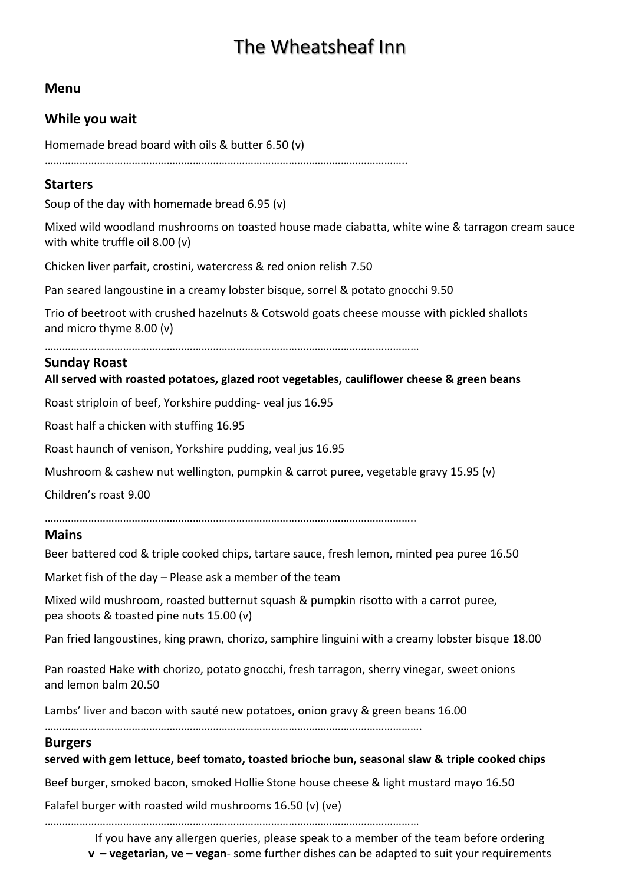# The Wheatsheaf Inn

# **Menu**

# **While you wait**

Homemade bread board with oils & butter 6.50 (v)

……………………………………………………………………………………………………………..

# **Starters**

Soup of the day with homemade bread 6.95 (v)

Mixed wild woodland mushrooms on toasted house made ciabatta, white wine & tarragon cream sauce with white truffle oil 8.00 (v)

Chicken liver parfait, crostini, watercress & red onion relish 7.50

Pan seared langoustine in a creamy lobster bisque, sorrel & potato gnocchi 9.50

Trio of beetroot with crushed hazelnuts & Cotswold goats cheese mousse with pickled shallots and micro thyme 8.00 (v)

…………………………………………………………………………………………………………………

# **Sunday Roast**

#### **All served with roasted potatoes, glazed root vegetables, cauliflower cheese & green beans**

Roast striploin of beef, Yorkshire pudding- veal jus 16.95

Roast half a chicken with stuffing 16.95

Roast haunch of venison, Yorkshire pudding, veal jus 16.95

Mushroom & cashew nut wellington, pumpkin & carrot puree, vegetable gravy 15.95 (v)

Children's roast 9.00

………………………………………………………………………………………………………………..

#### **Mains**

Beer battered cod & triple cooked chips, tartare sauce, fresh lemon, minted pea puree 16.50

Market fish of the day – Please ask a member of the team

Mixed wild mushroom, roasted butternut squash & pumpkin risotto with a carrot puree, pea shoots & toasted pine nuts 15.00 (v)

Pan fried langoustines, king prawn, chorizo, samphire linguini with a creamy lobster bisque 18.00

Pan roasted Hake with chorizo, potato gnocchi, fresh tarragon, sherry vinegar, sweet onions and lemon balm 20.50

Lambs' liver and bacon with sauté new potatoes, onion gravy & green beans 16.00

………………………………………………………………………………………………………………….

#### **Burgers**

**served with gem lettuce, beef tomato, toasted brioche bun, seasonal slaw & triple cooked chips** 

Beef burger, smoked bacon, smoked Hollie Stone house cheese & light mustard mayo 16.50

Falafel burger with roasted wild mushrooms 16.50 (v) (ve)

…………………………………………………………………………………………………………………

If you have any allergen queries, please speak to a member of the team before ordering **v – vegetarian, ve – vegan**- some further dishes can be adapted to suit your requirements